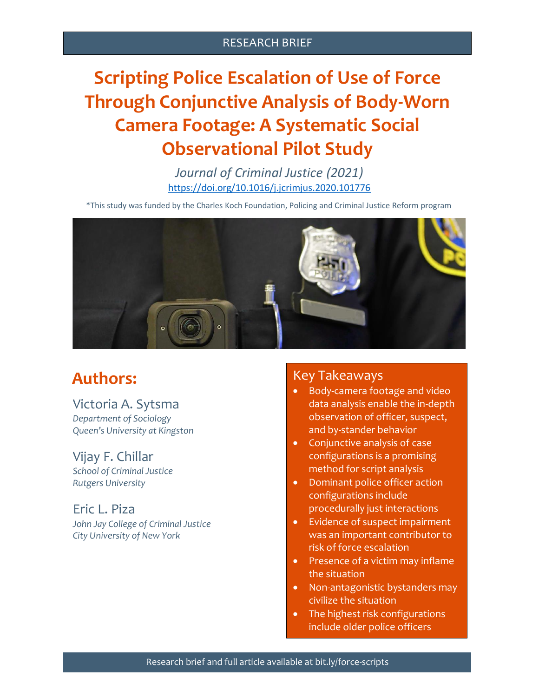### RESEARCH BRIEF

# **Scripting Police Escalation of Use of Force Through Conjunctive Analysis of Body-Worn Camera Footage: A Systematic Social Observational Pilot Study**

*Journal of Criminal Justice (2021)* <https://doi.org/10.1016/j.jcrimjus.2020.101776>

\*This study was funded by the Charles Koch Foundation, Policing and Criminal Justice Reform program



# **Authors:**

#### Victoria A. Sytsma

*Department of Sociology Queen's University at Kingston*

#### Vijay F. Chillar

*School of Criminal Justice Rutgers University*

## Eric L. Piza

*John Jay College of Criminal Justice City University of New York*

### Key Takeaways

- Body-camera footage and video data analysis enable the in-depth observation of officer, suspect, and by-stander behavior
- Conjunctive analysis of case configurations is a promising method for script analysis
- Dominant police officer action configurations include procedurally just interactions
- Evidence of suspect impairment was an important contributor to risk of force escalation
- Presence of a victim may inflame the situation
- Non-antagonistic bystanders may civilize the situation
- The highest risk configurations include older police officers